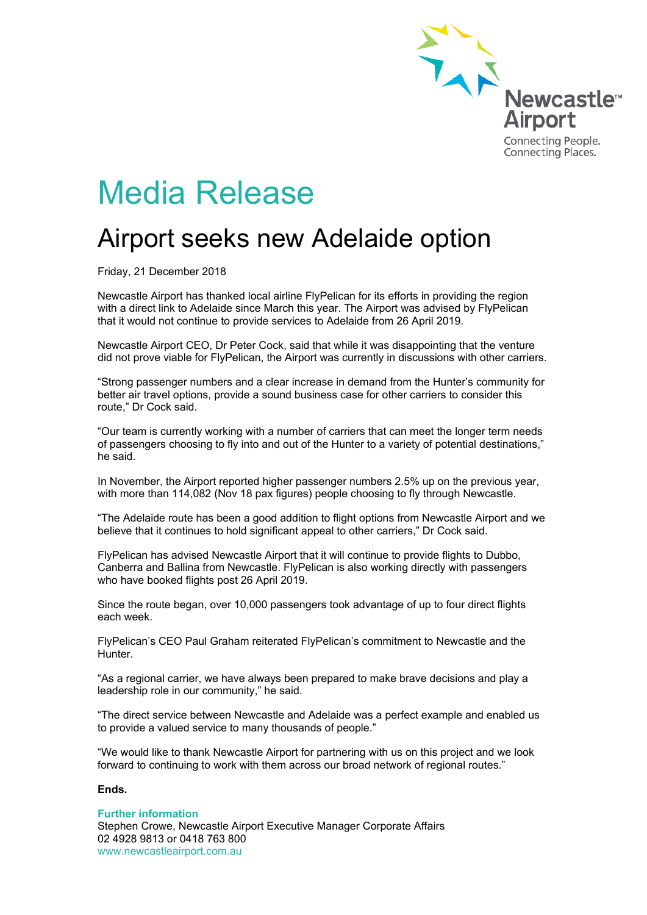

# Media Release

# Airport seeks new Adelaide option

Friday, 21 December 2018

Newcastle Airport has thanked local airline FlyPelican for its efforts in providing the region with a direct link to Adelaide since March this year. The Airport was advised by FlyPelican that it would not continue to provide services to Adelaide from 26 April 2019.

Newcastle Airport CEO, Dr Peter Cock, said that while it was disappointing that the venture did not prove viable for FlyPelican, the Airport was currently in discussions with other carriers.

"Strong passenger numbers and a clear increase in demand from the Hunter's community for better air travel options, provide a sound business case for other carriers to consider this route," Dr Cock said.

"Our team is currently working with a number of carriers that can meet the longer term needs of passengers choosing to fly into and out of the Hunter to a variety of potential destinations," he said.

In November, the Airport reported higher passenger numbers 2.5% up on the previous year, with more than 114,082 (Nov 18 pax figures) people choosing to fly through Newcastle.

"The Adelaide route has been a good addition to flight options from Newcastle Airport and we believe that it continues to hold significant appeal to other carriers," Dr Cock said.

FlyPelican has advised Newcastle Airport that it will continue to provide flights to Dubbo, Canberra and Ballina from Newcastle. FlyPelican is also working directly with passengers who have booked flights post 26 April 2019.

Since the route began, over 10,000 passengers took advantage of up to four direct flights each week.

FlyPelican's CEO Paul Graham reiterated FlyPelican's commitment to Newcastle and the **Hunter** 

"As a regional carrier, we have always been prepared to make brave decisions and play a leadership role in our community," he said.

"The direct service between Newcastle and Adelaide was a perfect example and enabled us to provide a valued service to many thousands of people."

"We would like to thank Newcastle Airport for partnering with us on this project and we look forward to continuing to work with them across our broad network of regional routes."

## **Ends.**

#### **Further information**

Stephen Crowe, Newcastle Airport Executive Manager Corporate Affairs 02 4928 9813 or 0418 763 800 www.newcastleairport.com.au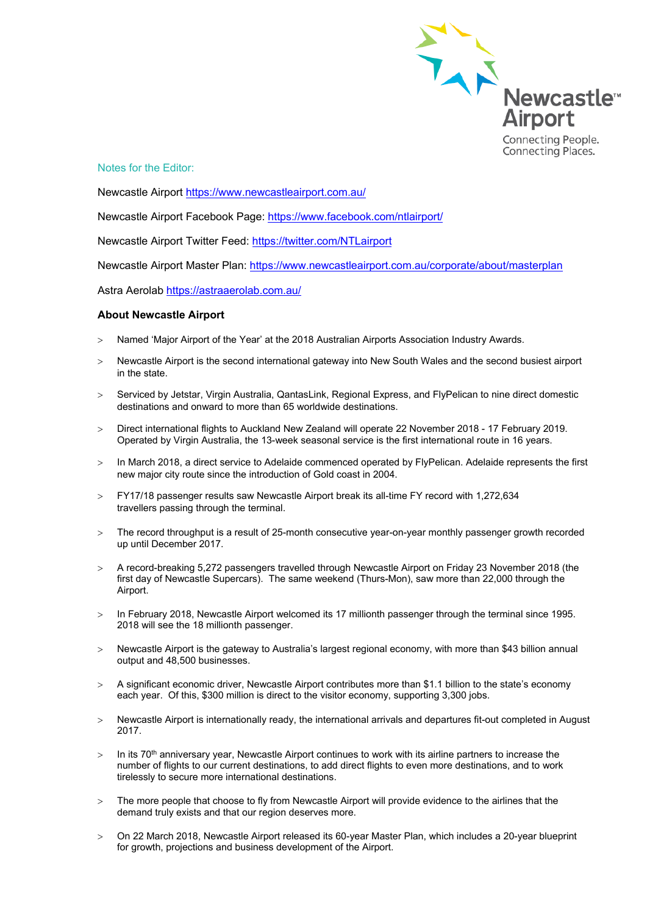

Notes for the Editor:

Newcastle Airport<https://www.newcastleairport.com.au/>

Newcastle Airport Facebook Page: <https://www.facebook.com/ntlairport/>

Newcastle Airport Twitter Feed:<https://twitter.com/NTLairport>

Newcastle Airport Master Plan:<https://www.newcastleairport.com.au/corporate/about/masterplan>

Astra Aerolab<https://astraaerolab.com.au/>

### **About Newcastle Airport**

- > Named 'Major Airport of the Year' at the 2018 Australian Airports Association Industry Awards.
- > Newcastle Airport is the second international gateway into New South Wales and the second busiest airport in the state.
- > Serviced by Jetstar, Virgin Australia, QantasLink, Regional Express, and FlyPelican to nine direct domestic destinations and onward to more than 65 worldwide destinations.
- > Direct international flights to Auckland New Zealand will operate 22 November 2018 17 February 2019. Operated by Virgin Australia, the 13-week seasonal service is the first international route in 16 years.
- > In March 2018, a direct service to Adelaide commenced operated by FlyPelican. Adelaide represents the first new major city route since the introduction of Gold coast in 2004.
- > FY17/18 passenger results saw Newcastle Airport break its all-time FY record with 1,272,634 travellers passing through the terminal.
- > The record throughput is a result of 25-month consecutive year-on-year monthly passenger growth recorded up until December 2017.
- > A record-breaking 5,272 passengers travelled through Newcastle Airport on Friday 23 November 2018 (the first day of Newcastle Supercars). The same weekend (Thurs-Mon), saw more than 22,000 through the Airport.
- > In February 2018, Newcastle Airport welcomed its 17 millionth passenger through the terminal since 1995. 2018 will see the 18 millionth passenger.
- > Newcastle Airport is the gateway to Australia's largest regional economy, with more than \$43 billion annual output and 48,500 businesses.
- > A significant economic driver, Newcastle Airport contributes more than \$1.1 billion to the state's economy each year. Of this, \$300 million is direct to the visitor economy, supporting 3,300 jobs.
- > Newcastle Airport is internationally ready, the international arrivals and departures fit-out completed in August 2017.
- $>$  In its 70<sup>th</sup> anniversary year, Newcastle Airport continues to work with its airline partners to increase the number of flights to our current destinations, to add direct flights to even more destinations, and to work tirelessly to secure more international destinations.
- > The more people that choose to fly from Newcastle Airport will provide evidence to the airlines that the demand truly exists and that our region deserves more.
- > On 22 March 2018, Newcastle Airport released its 60-year Master Plan, which includes a 20-year blueprint for growth, projections and business development of the Airport.